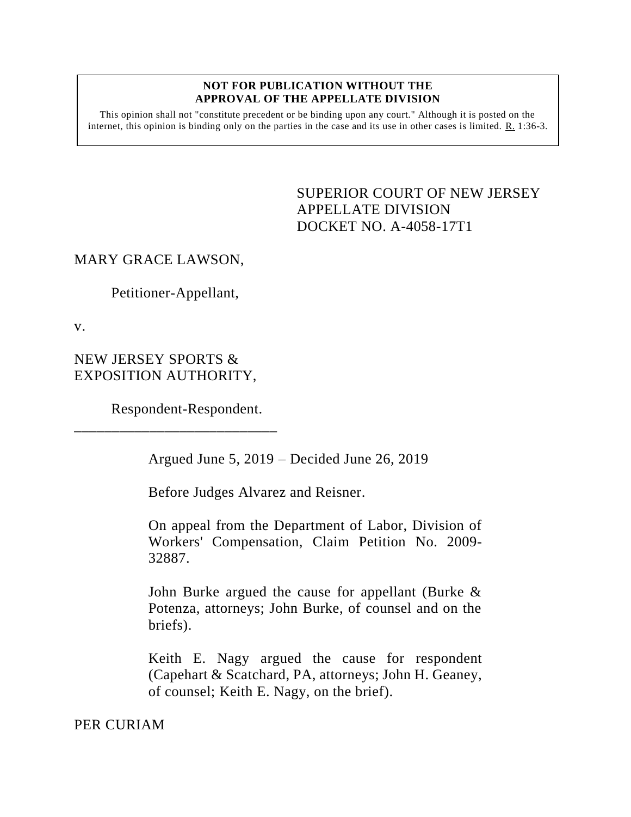## **NOT FOR PUBLICATION WITHOUT THE APPROVAL OF THE APPELLATE DIVISION**

This opinion shall not "constitute precedent or be binding upon any court." Although it is posted on the internet, this opinion is binding only on the parties in the case and its use in other cases is limited.  $\underline{R}$ . 1:36-3.

> <span id="page-0-0"></span>SUPERIOR COURT OF NEW JERSEY APPELLATE DIVISION DOCKET NO. A-4058-17T1

## MARY GRACE LAWSON,

Petitioner-Appellant,

v.

NEW JERSEY SPORTS & EXPOSITION AUTHORITY,

Respondent-Respondent.

\_\_\_\_\_\_\_\_\_\_\_\_\_\_\_\_\_\_\_\_\_\_\_\_\_\_\_

Argued June 5, 2019 – Decided June 26, 2019

Before Judges Alvarez and Reisner.

On appeal from the Department of Labor, Division of Workers' Compensation, Claim Petition No. 2009- 32887.

John Burke argued the cause for appellant (Burke & Potenza, attorneys; John Burke, of counsel and on the briefs).

Keith E. Nagy argued the cause for respondent (Capehart & Scatchard, PA, attorneys; John H. Geaney, of counsel; Keith E. Nagy, on the brief).

PER CURIAM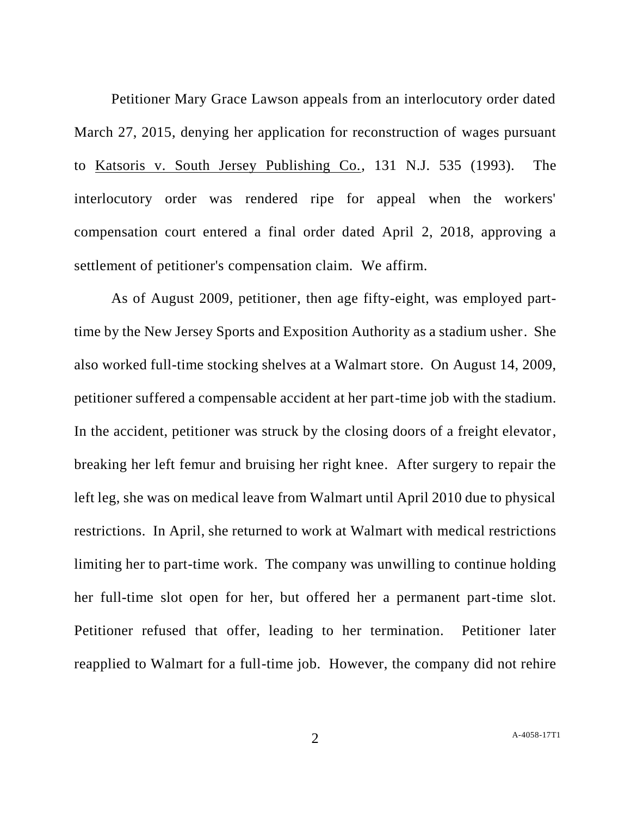Petitioner Mary Grace Lawson appeals from an interlocutory order dated March 27, 2015, denying her application for reconstruction of wages pursuant to Katsoris v. South Jersey Publishing Co., 131 N.J. 535 (1993). The interlocutory order was rendered ripe for appeal when the workers' compensation court entered a final order dated April 2, 2018, approving a settlement of petitioner's compensation claim. We affirm.

As of August 2009, petitioner, then age fifty-eight, was employed parttime by the New Jersey Sports and Exposition Authority as a stadium usher. She also worked full-time stocking shelves at a Walmart store. On August 14, 2009, petitioner suffered a compensable accident at her part-time job with the stadium. In the accident, petitioner was struck by the closing doors of a freight elevator, breaking her left femur and bruising her right knee. After surgery to repair the left leg, she was on medical leave from Walmart until April 2010 due to physical restrictions. In April, she returned to work at Walmart with medical restrictions limiting her to part-time work. The company was unwilling to continue holding her full-time slot open for her, but offered her a permanent part-time slot. Petitioner refused that offer, leading to her termination. Petitioner later reapplied to Walmart for a full-time job. However, the company did not rehire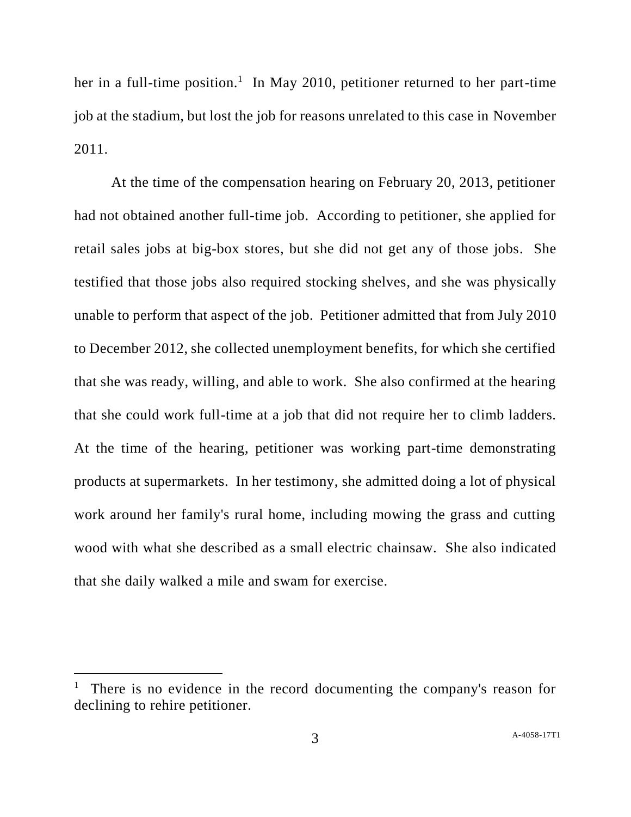her in a full-time position.<sup>1</sup> In May 2010, petitioner returned to her part-time job at the stadium, but lost the job for reasons unrelated to this case in November 2011.

At the time of the compensation hearing on February 20, 2013, petitioner had not obtained another full-time job. According to petitioner, she applied for retail sales jobs at big-box stores, but she did not get any of those jobs. She testified that those jobs also required stocking shelves, and she was physically unable to perform that aspect of the job. Petitioner admitted that from July 2010 to December 2012, she collected unemployment benefits, for which she certified that she was ready, willing, and able to work. She also confirmed at the hearing that she could work full-time at a job that did not require her to climb ladders. At the time of the hearing, petitioner was working part-time demonstrating products at supermarkets. In her testimony, she admitted doing a lot of physical work around her family's rural home, including mowing the grass and cutting wood with what she described as a small electric chainsaw. She also indicated that she daily walked a mile and swam for exercise.

l

<sup>&</sup>lt;sup>1</sup> There is no evidence in the record documenting the company's reason for declining to rehire petitioner.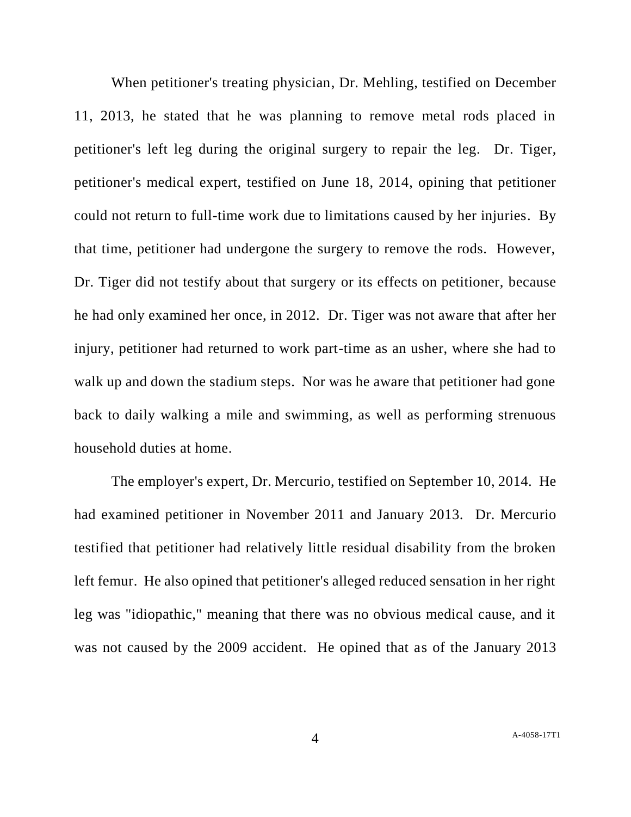When petitioner's treating physician, Dr. Mehling, testified on December 11, 2013, he stated that he was planning to remove metal rods placed in petitioner's left leg during the original surgery to repair the leg. Dr. Tiger, petitioner's medical expert, testified on June 18, 2014, opining that petitioner could not return to full-time work due to limitations caused by her injuries. By that time, petitioner had undergone the surgery to remove the rods. However, Dr. Tiger did not testify about that surgery or its effects on petitioner, because he had only examined her once, in 2012. Dr. Tiger was not aware that after her injury, petitioner had returned to work part-time as an usher, where she had to walk up and down the stadium steps. Nor was he aware that petitioner had gone back to daily walking a mile and swimming, as well as performing strenuous household duties at home.

The employer's expert, Dr. Mercurio, testified on September 10, 2014. He had examined petitioner in November 2011 and January 2013. Dr. Mercurio testified that petitioner had relatively little residual disability from the broken left femur. He also opined that petitioner's alleged reduced sensation in her right leg was "idiopathic," meaning that there was no obvious medical cause, and it was not caused by the 2009 accident. He opined that as of the January 2013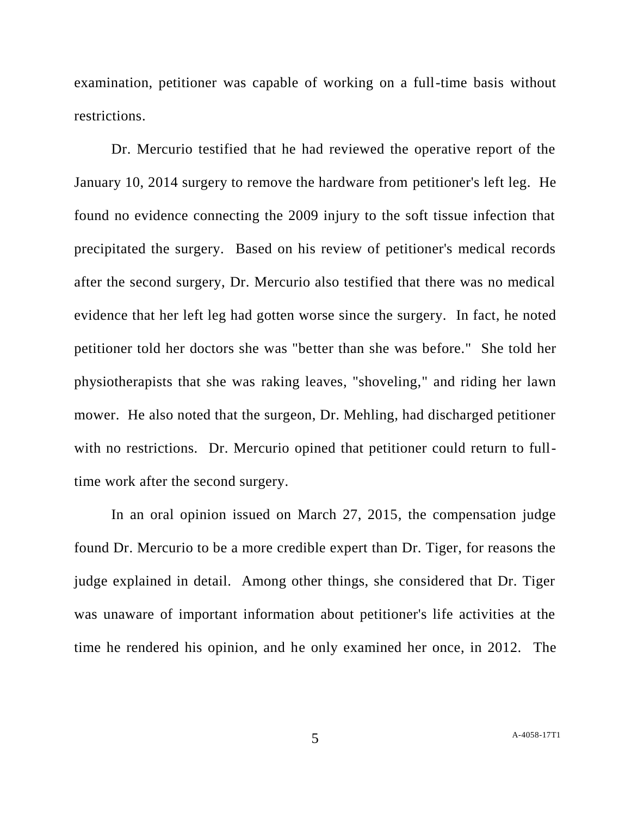examination, petitioner was capable of working on a full-time basis without restrictions.

Dr. Mercurio testified that he had reviewed the operative report of the January 10, 2014 surgery to remove the hardware from petitioner's left leg. He found no evidence connecting the 2009 injury to the soft tissue infection that precipitated the surgery. Based on his review of petitioner's medical records after the second surgery, Dr. Mercurio also testified that there was no medical evidence that her left leg had gotten worse since the surgery. In fact, he noted petitioner told her doctors she was "better than she was before." She told her physiotherapists that she was raking leaves, "shoveling," and riding her lawn mower. He also noted that the surgeon, Dr. Mehling, had discharged petitioner with no restrictions. Dr. Mercurio opined that petitioner could return to fulltime work after the second surgery.

In an oral opinion issued on March 27, 2015, the compensation judge found Dr. Mercurio to be a more credible expert than Dr. Tiger, for reasons the judge explained in detail. Among other things, she considered that Dr. Tiger was unaware of important information about petitioner's life activities at the time he rendered his opinion, and he only examined her once, in 2012. The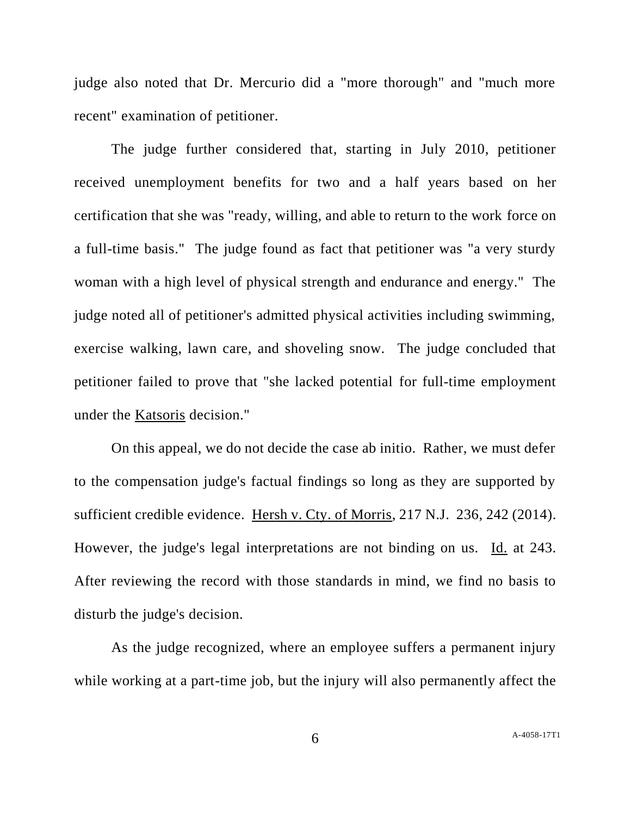judge also noted that Dr. Mercurio did a "more thorough" and "much more recent" examination of petitioner.

The judge further considered that, starting in July 2010, petitioner received unemployment benefits for two and a half years based on her certification that she was "ready, willing, and able to return to the work force on a full-time basis." The judge found as fact that petitioner was "a very sturdy woman with a high level of physical strength and endurance and energy." The judge noted all of petitioner's admitted physical activities including swimming, exercise walking, lawn care, and shoveling snow. The judge concluded that petitioner failed to prove that "she lacked potential for full-time employment under the Katsoris decision."

On this appeal, we do not decide the case ab initio. Rather, we must defer to the compensation judge's factual findings so long as they are supported by sufficient credible evidence. Hersh v. Cty. of Morris, 217 N.J. 236, 242 (2014). However, the judge's legal interpretations are not binding on us. Id. at 243. After reviewing the record with those standards in mind, we find no basis to disturb the judge's decision.

As the judge recognized, where an employee suffers a permanent injury while working at a part-time job, but the injury will also permanently affect the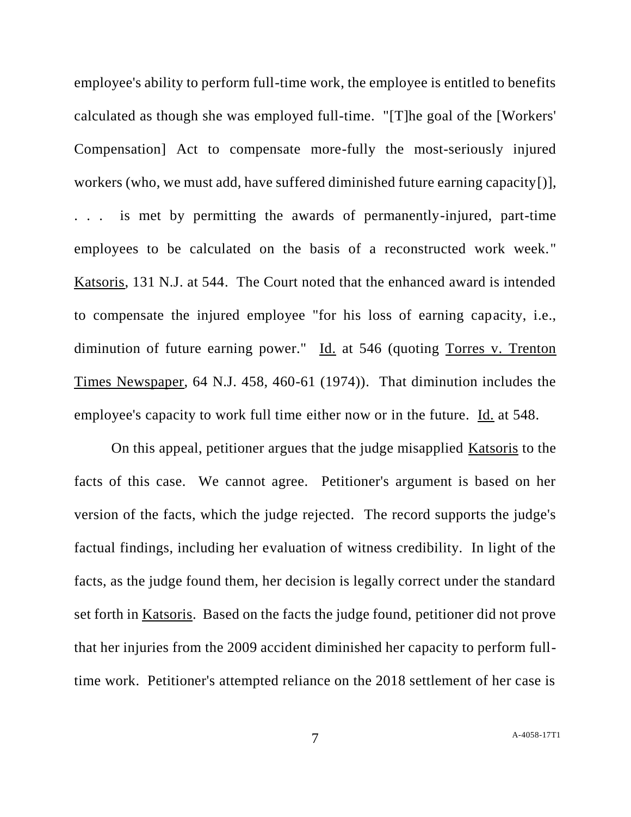employee's ability to perform full-time work, the employee is entitled to benefits calculated as though she was employed full-time. "[T]he goal of the [Workers' Compensation] Act to compensate more-fully the most-seriously injured workers (who, we must add, have suffered diminished future earning capacity[)], . . . is met by permitting the awards of permanently-injured, part-time employees to be calculated on the basis of a reconstructed work week." Katsoris, 131 N.J. at 544. The Court noted that the enhanced award is intended to compensate the injured employee "for his loss of earning capacity, i.e., diminution of future earning power." Id. at 546 (quoting Torres v. Trenton Times Newspaper, 64 N.J. 458, 460-61 (1974)). That diminution includes the employee's capacity to work full time either now or in the future. Id. at 548.

On this appeal, petitioner argues that the judge misapplied Katsoris to the facts of this case. We cannot agree. Petitioner's argument is based on her version of the facts, which the judge rejected. The record supports the judge's factual findings, including her evaluation of witness credibility. In light of the facts, as the judge found them, her decision is legally correct under the standard set forth in Katsoris. Based on the facts the judge found, petitioner did not prove that her injuries from the 2009 accident diminished her capacity to perform fulltime work. Petitioner's attempted reliance on the 2018 settlement of her case is